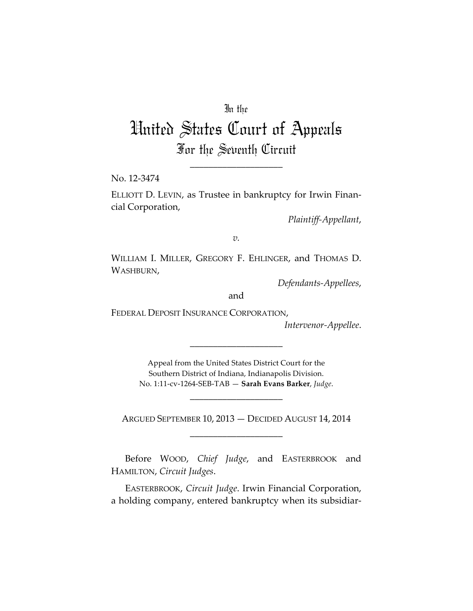## In the

## United States Court of Appeals For the Seventh Circuit

\_\_\_\_\_\_\_\_\_\_\_\_\_\_\_\_\_\_\_\_

No. 12-3474

ELLIOTT D. LEVIN, as Trustee in bankruptcy for Irwin Financial Corporation,

*Plaintiff-Appellant*,

*v.*

WILLIAM I. MILLER, GREGORY F. EHLINGER, and THOMAS D. WASHBURN,

*Defendants-Appellees*,

and

FEDERAL DEPOSIT INSURANCE CORPORATION,

*Intervenor-Appellee*.

Appeal from the United States District Court for the Southern District of Indiana, Indianapolis Division. No. 1:11-cv-1264-SEB-TAB — **Sarah Evans Barker**, *Judge*.

\_\_\_\_\_\_\_\_\_\_\_\_\_\_\_\_\_\_\_\_

\_\_\_\_\_\_\_\_\_\_\_\_\_\_\_\_\_\_\_\_

ARGUED SEPTEMBER 10, 2013 — DECIDED AUGUST 14, 2014 \_\_\_\_\_\_\_\_\_\_\_\_\_\_\_\_\_\_\_\_

Before WOOD, *Chief Judge*, and EASTERBROOK and HAMILTON, *Circuit Judges*.

EASTERBROOK, *Circuit Judge*. Irwin Financial Corporation, a holding company, entered bankruptcy when its subsidiar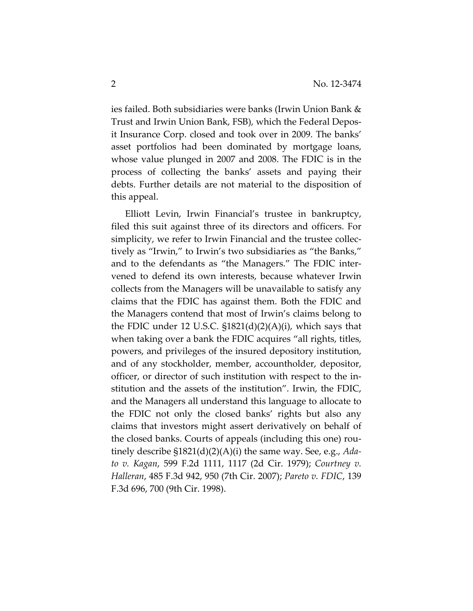ies failed. Both subsidiaries were banks (Irwin Union Bank & Trust and Irwin Union Bank, FSB), which the Federal Deposit Insurance Corp. closed and took over in 2009. The banks' asset portfolios had been dominated by mortgage loans, whose value plunged in 2007 and 2008. The FDIC is in the process of collecting the banks' assets and paying their debts. Further details are not material to the disposition of this appeal.

Elliott Levin, Irwin Financial's trustee in bankruptcy, filed this suit against three of its directors and officers. For simplicity, we refer to Irwin Financial and the trustee collectively as "Irwin," to Irwin's two subsidiaries as "the Banks," and to the defendants as "the Managers." The FDIC intervened to defend its own interests, because whatever Irwin collects from the Managers will be unavailable to satisfy any claims that the FDIC has against them. Both the FDIC and the Managers contend that most of Irwin's claims belong to the FDIC under 12 U.S.C.  $$1821(d)(2)(A)(i)$ , which says that when taking over a bank the FDIC acquires "all rights, titles, powers, and privileges of the insured depository institution, and of any stockholder, member, accountholder, depositor, officer, or director of such institution with respect to the institution and the assets of the institution". Irwin, the FDIC, and the Managers all understand this language to allocate to the FDIC not only the closed banks' rights but also any claims that investors might assert derivatively on behalf of the closed banks. Courts of appeals (including this one) routinely describe §1821(d)(2)(A)(i) the same way. See, e.g., *Adato v. Kagan*, 599 F.2d 1111, 1117 (2d Cir. 1979); *Courtney v. Halleran*, 485 F.3d 942, 950 (7th Cir. 2007); *Pareto v. FDIC*, 139 F.3d 696, 700 (9th Cir. 1998).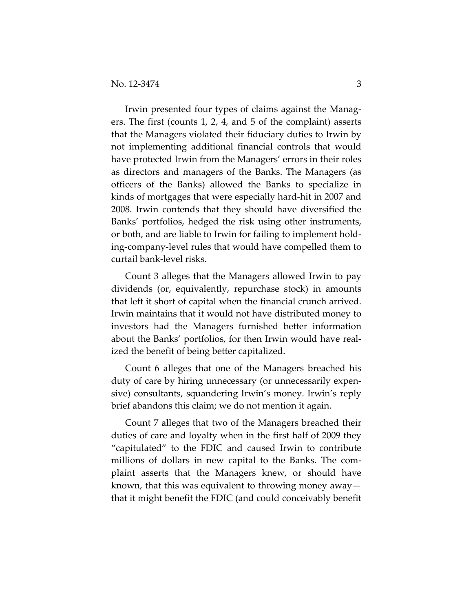Irwin presented four types of claims against the Managers. The first (counts 1, 2, 4, and 5 of the complaint) asserts that the Managers violated their fiduciary duties to Irwin by not implementing additional financial controls that would have protected Irwin from the Managers' errors in their roles as directors and managers of the Banks. The Managers (as officers of the Banks) allowed the Banks to specialize in kinds of mortgages that were especially hard-hit in 2007 and 2008. Irwin contends that they should have diversified the Banks' portfolios, hedged the risk using other instruments, or both, and are liable to Irwin for failing to implement holding-company-level rules that would have compelled them to curtail bank-level risks.

Count 3 alleges that the Managers allowed Irwin to pay dividends (or, equivalently, repurchase stock) in amounts that left it short of capital when the financial crunch arrived. Irwin maintains that it would not have distributed money to investors had the Managers furnished better information about the Banks' portfolios, for then Irwin would have realized the benefit of being better capitalized.

Count 6 alleges that one of the Managers breached his duty of care by hiring unnecessary (or unnecessarily expensive) consultants, squandering Irwin's money. Irwin's reply brief abandons this claim; we do not mention it again.

Count 7 alleges that two of the Managers breached their duties of care and loyalty when in the first half of 2009 they "capitulated" to the FDIC and caused Irwin to contribute millions of dollars in new capital to the Banks. The complaint asserts that the Managers knew, or should have known, that this was equivalent to throwing money away that it might benefit the FDIC (and could conceivably benefit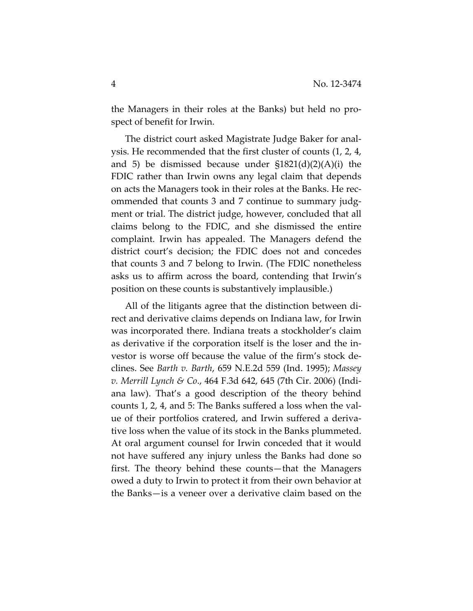the Managers in their roles at the Banks) but held no prospect of benefit for Irwin.

The district court asked Magistrate Judge Baker for analysis. He recommended that the first cluster of counts (1, 2, 4, and 5) be dismissed because under §1821(d)(2)(A)(i) the FDIC rather than Irwin owns any legal claim that depends on acts the Managers took in their roles at the Banks. He recommended that counts 3 and 7 continue to summary judgment or trial. The district judge, however, concluded that all claims belong to the FDIC, and she dismissed the entire complaint. Irwin has appealed. The Managers defend the district court's decision; the FDIC does not and concedes that counts 3 and 7 belong to Irwin. (The FDIC nonetheless asks us to affirm across the board, contending that Irwin's position on these counts is substantively implausible.)

All of the litigants agree that the distinction between direct and derivative claims depends on Indiana law, for Irwin was incorporated there. Indiana treats a stockholder's claim as derivative if the corporation itself is the loser and the investor is worse off because the value of the firm's stock declines. See *Barth v. Barth*, 659 N.E.2d 559 (Ind. 1995); *Massey v. Merrill Lynch & Co*., 464 F.3d 642, 645 (7th Cir. 2006) (Indiana law). That's a good description of the theory behind counts 1, 2, 4, and 5: The Banks suffered a loss when the value of their portfolios cratered, and Irwin suffered a derivative loss when the value of its stock in the Banks plummeted. At oral argument counsel for Irwin conceded that it would not have suffered any injury unless the Banks had done so first. The theory behind these counts—that the Managers owed a duty to Irwin to protect it from their own behavior at the Banks—is a veneer over a derivative claim based on the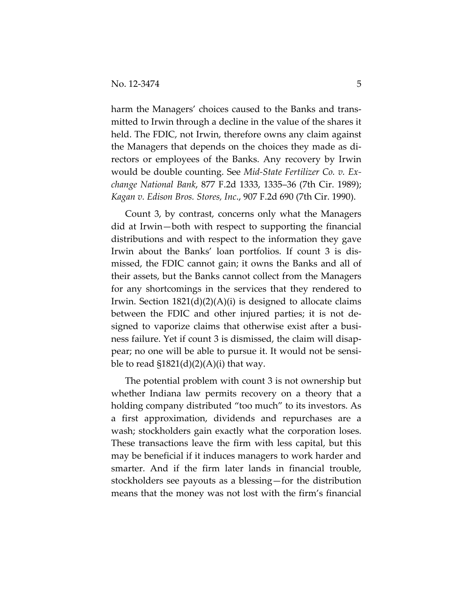harm the Managers' choices caused to the Banks and transmitted to Irwin through a decline in the value of the shares it held. The FDIC, not Irwin, therefore owns any claim against the Managers that depends on the choices they made as directors or employees of the Banks. Any recovery by Irwin would be double counting. See *Mid-State Fertilizer Co. v. Exchange National Bank*, 877 F.2d 1333, 1335–36 (7th Cir. 1989); *Kagan v. Edison Bros. Stores, Inc*., 907 F.2d 690 (7th Cir. 1990).

Count 3, by contrast, concerns only what the Managers did at Irwin—both with respect to supporting the financial distributions and with respect to the information they gave Irwin about the Banks' loan portfolios. If count 3 is dismissed, the FDIC cannot gain; it owns the Banks and all of their assets, but the Banks cannot collect from the Managers for any shortcomings in the services that they rendered to Irwin. Section  $1821(d)(2)(A)(i)$  is designed to allocate claims between the FDIC and other injured parties; it is not designed to vaporize claims that otherwise exist after a business failure. Yet if count 3 is dismissed, the claim will disappear; no one will be able to pursue it. It would not be sensible to read  $$1821(d)(2)(A)(i)$  that way.

The potential problem with count 3 is not ownership but whether Indiana law permits recovery on a theory that a holding company distributed "too much" to its investors. As a first approximation, dividends and repurchases are a wash; stockholders gain exactly what the corporation loses. These transactions leave the firm with less capital, but this may be beneficial if it induces managers to work harder and smarter. And if the firm later lands in financial trouble, stockholders see payouts as a blessing—for the distribution means that the money was not lost with the firm's financial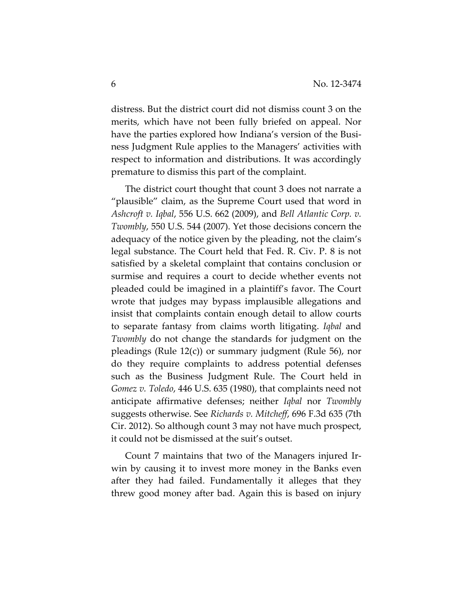distress. But the district court did not dismiss count 3 on the merits, which have not been fully briefed on appeal. Nor have the parties explored how Indiana's version of the Business Judgment Rule applies to the Managers' activities with respect to information and distributions. It was accordingly premature to dismiss this part of the complaint.

The district court thought that count 3 does not narrate a "plausible" claim, as the Supreme Court used that word in *Ashcroft v. Iqbal*, 556 U.S. 662 (2009), and *Bell Atlantic Corp. v. Twombly*, 550 U.S. 544 (2007). Yet those decisions concern the adequacy of the notice given by the pleading, not the claim's legal substance. The Court held that Fed. R. Civ. P. 8 is not satisfied by a skeletal complaint that contains conclusion or surmise and requires a court to decide whether events not pleaded could be imagined in a plaintiff's favor. The Court wrote that judges may bypass implausible allegations and insist that complaints contain enough detail to allow courts to separate fantasy from claims worth litigating. *Iqbal* and *Twombly* do not change the standards for judgment on the pleadings (Rule 12(c)) or summary judgment (Rule 56), nor do they require complaints to address potential defenses such as the Business Judgment Rule. The Court held in *Gomez v. Toledo*, 446 U.S. 635 (1980), that complaints need not anticipate affirmative defenses; neither *Iqbal* nor *Twombly* suggests otherwise. See *Richards v. Mitcheff*, 696 F.3d 635 (7th Cir. 2012). So although count 3 may not have much prospect, it could not be dismissed at the suit's outset.

Count 7 maintains that two of the Managers injured Irwin by causing it to invest more money in the Banks even after they had failed. Fundamentally it alleges that they threw good money after bad. Again this is based on injury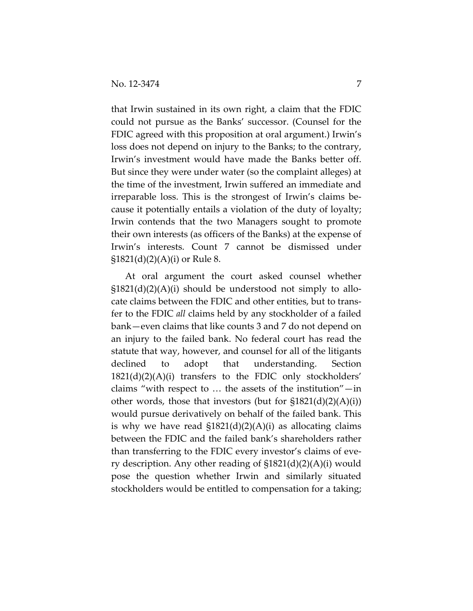that Irwin sustained in its own right, a claim that the FDIC could not pursue as the Banks' successor. (Counsel for the FDIC agreed with this proposition at oral argument.) Irwin's loss does not depend on injury to the Banks; to the contrary, Irwin's investment would have made the Banks better off. But since they were under water (so the complaint alleges) at the time of the investment, Irwin suffered an immediate and irreparable loss. This is the strongest of Irwin's claims because it potentially entails a violation of the duty of loyalty; Irwin contends that the two Managers sought to promote their own interests (as officers of the Banks) at the expense of Irwin's interests. Count 7 cannot be dismissed under  $$1821(d)(2)(A)(i)$  or Rule 8.

At oral argument the court asked counsel whether  $$1821(d)(2)(A)(i)$  should be understood not simply to allocate claims between the FDIC and other entities, but to transfer to the FDIC *all* claims held by any stockholder of a failed bank—even claims that like counts 3 and 7 do not depend on an injury to the failed bank. No federal court has read the statute that way, however, and counsel for all of the litigants declined to adopt that understanding. Section  $1821(d)(2)(A)(i)$  transfers to the FDIC only stockholders' claims "with respect to … the assets of the institution"—in other words, those that investors (but for  $$1821(d)(2)(A)(i)$ ) would pursue derivatively on behalf of the failed bank. This is why we have read  $$1821(d)(2)(A)(i)$  as allocating claims between the FDIC and the failed bank's shareholders rather than transferring to the FDIC every investor's claims of every description. Any other reading of §1821(d)(2)(A)(i) would pose the question whether Irwin and similarly situated stockholders would be entitled to compensation for a taking;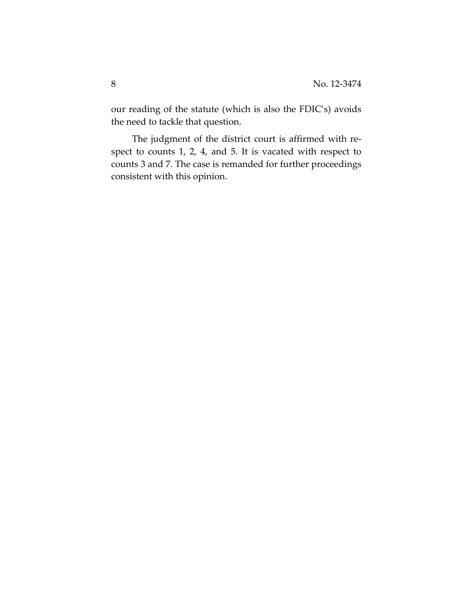our reading of the statute (which is also the FDIC's) avoids the need to tackle that question.

The judgment of the district court is affirmed with respect to counts 1, 2, 4, and 5. It is vacated with respect to counts 3 and 7. The case is remanded for further proceedings consistent with this opinion.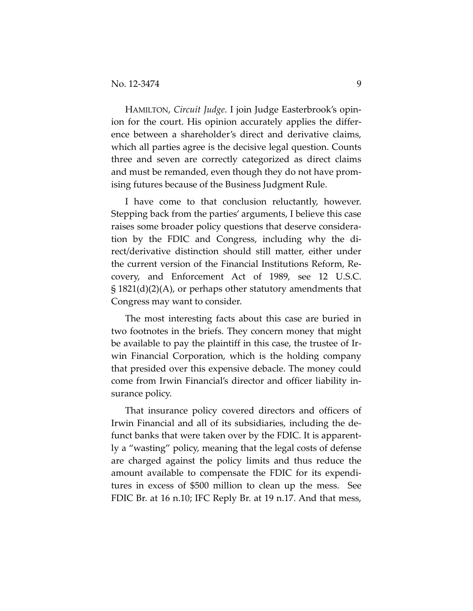HAMILTON, *Circuit Judge*. I join Judge Easterbrook's opinion for the court. His opinion accurately applies the difference between a shareholder's direct and derivative claims, which all parties agree is the decisive legal question. Counts three and seven are correctly categorized as direct claims and must be remanded, even though they do not have promising futures because of the Business Judgment Rule.

I have come to that conclusion reluctantly, however. Stepping back from the parties' arguments, I believe this case raises some broader policy questions that deserve consideration by the FDIC and Congress, including why the direct/derivative distinction should still matter, either under the current version of the Financial Institutions Reform, Recovery, and Enforcement Act of 1989, see 12 U.S.C. § 1821(d)(2)(A), or perhaps other statutory amendments that Congress may want to consider.

The most interesting facts about this case are buried in two footnotes in the briefs. They concern money that might be available to pay the plaintiff in this case, the trustee of Irwin Financial Corporation, which is the holding company that presided over this expensive debacle. The money could come from Irwin Financial's director and officer liability insurance policy.

That insurance policy covered directors and officers of Irwin Financial and all of its subsidiaries, including the defunct banks that were taken over by the FDIC. It is apparently a "wasting" policy, meaning that the legal costs of defense are charged against the policy limits and thus reduce the amount available to compensate the FDIC for its expenditures in excess of \$500 million to clean up the mess. See FDIC Br. at 16 n.10; IFC Reply Br. at 19 n.17. And that mess,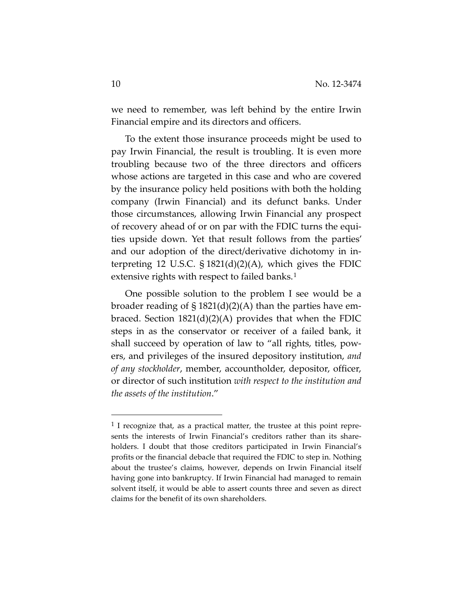we need to remember, was left behind by the entire Irwin Financial empire and its directors and officers.

To the extent those insurance proceeds might be used to pay Irwin Financial, the result is troubling. It is even more troubling because two of the three directors and officers whose actions are targeted in this case and who are covered by the insurance policy held positions with both the holding company (Irwin Financial) and its defunct banks. Under those circumstances, allowing Irwin Financial any prospect of recovery ahead of or on par with the FDIC turns the equities upside down. Yet that result follows from the parties' and our adoption of the direct/derivative dichotomy in interpreting 12 U.S.C.  $\S$  1821(d)(2)(A), which gives the FDIC extensive rights with respect to failed banks.<sup>[1](#page-9-0)</sup>

One possible solution to the problem I see would be a broader reading of § 1821(d)(2)(A) than the parties have embraced. Section  $1821(d)(2)(A)$  provides that when the FDIC steps in as the conservator or receiver of a failed bank, it shall succeed by operation of law to "all rights, titles, powers, and privileges of the insured depository institution, *and of any stockholder*, member, accountholder, depositor, officer, or director of such institution *with respect to the institution and the assets of the institution*."

<span id="page-9-0"></span> $<sup>1</sup>$  I recognize that, as a practical matter, the trustee at this point repre-</sup> sents the interests of Irwin Financial's creditors rather than its shareholders. I doubt that those creditors participated in Irwin Financial's profits or the financial debacle that required the FDIC to step in. Nothing about the trustee's claims, however, depends on Irwin Financial itself having gone into bankruptcy. If Irwin Financial had managed to remain solvent itself, it would be able to assert counts three and seven as direct claims for the benefit of its own shareholders.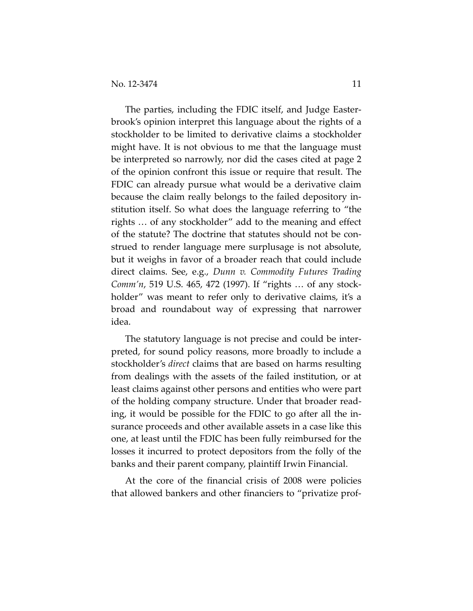The parties, including the FDIC itself, and Judge Easterbrook's opinion interpret this language about the rights of a stockholder to be limited to derivative claims a stockholder might have. It is not obvious to me that the language must be interpreted so narrowly, nor did the cases cited at page 2 of the opinion confront this issue or require that result. The FDIC can already pursue what would be a derivative claim because the claim really belongs to the failed depository institution itself. So what does the language referring to "the rights … of any stockholder" add to the meaning and effect of the statute? The doctrine that statutes should not be construed to render language mere surplusage is not absolute, but it weighs in favor of a broader reach that could include direct claims. See, e.g., *Dunn v. Commodity Futures Trading Comm'n*, 519 U.S. 465, 472 (1997). If "rights … of any stockholder" was meant to refer only to derivative claims, it's a broad and roundabout way of expressing that narrower idea.

The statutory language is not precise and could be interpreted, for sound policy reasons, more broadly to include a stockholder's *direct* claims that are based on harms resulting from dealings with the assets of the failed institution, or at least claims against other persons and entities who were part of the holding company structure. Under that broader reading, it would be possible for the FDIC to go after all the insurance proceeds and other available assets in a case like this one, at least until the FDIC has been fully reimbursed for the losses it incurred to protect depositors from the folly of the banks and their parent company, plaintiff Irwin Financial.

At the core of the financial crisis of 2008 were policies that allowed bankers and other financiers to "privatize prof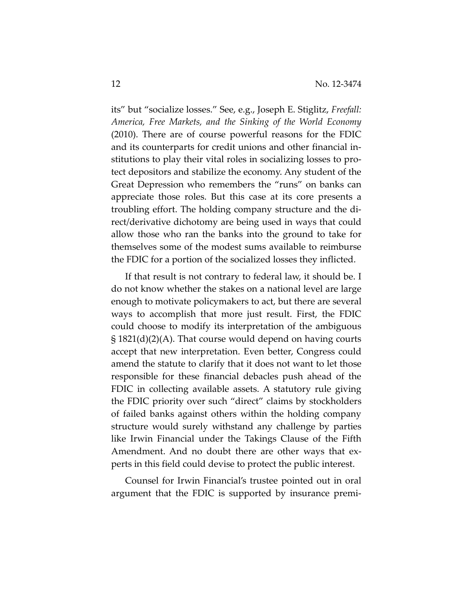its" but "socialize losses." See, e.g., Joseph E. Stiglitz, *Freefall: America, Free Markets, and the Sinking of the World Economy* (2010). There are of course powerful reasons for the FDIC and its counterparts for credit unions and other financial institutions to play their vital roles in socializing losses to protect depositors and stabilize the economy. Any student of the Great Depression who remembers the "runs" on banks can appreciate those roles. But this case at its core presents a troubling effort. The holding company structure and the direct/derivative dichotomy are being used in ways that could allow those who ran the banks into the ground to take for themselves some of the modest sums available to reimburse the FDIC for a portion of the socialized losses they inflicted.

If that result is not contrary to federal law, it should be. I do not know whether the stakes on a national level are large enough to motivate policymakers to act, but there are several ways to accomplish that more just result. First, the FDIC could choose to modify its interpretation of the ambiguous § 1821(d)(2)(A). That course would depend on having courts accept that new interpretation. Even better, Congress could amend the statute to clarify that it does not want to let those responsible for these financial debacles push ahead of the FDIC in collecting available assets. A statutory rule giving the FDIC priority over such "direct" claims by stockholders of failed banks against others within the holding company structure would surely withstand any challenge by parties like Irwin Financial under the Takings Clause of the Fifth Amendment. And no doubt there are other ways that experts in this field could devise to protect the public interest.

Counsel for Irwin Financial's trustee pointed out in oral argument that the FDIC is supported by insurance premi